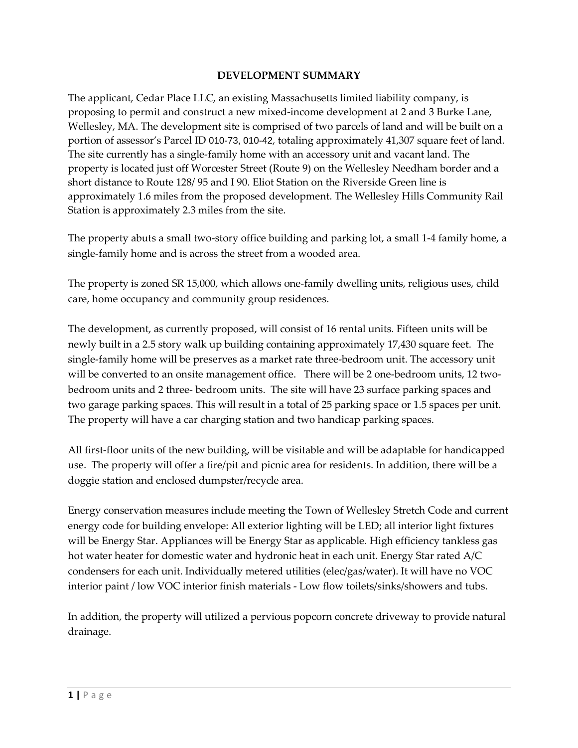#### **DEVELOPMENT SUMMARY**

The applicant, Cedar Place LLC, an existing Massachusetts limited liability company, is proposing to permit and construct a new mixed-income development at 2 and 3 Burke Lane, Wellesley, MA. The development site is comprised of two parcels of land and will be built on a portion of assessor's Parcel ID 010-73, 010-42, totaling approximately 41,307 square feet of land. The site currently has a single-family home with an accessory unit and vacant land. The property is located just off Worcester Street (Route 9) on the Wellesley Needham border and a short distance to Route 128/ 95 and I 90. Eliot Station on the Riverside Green line is approximately 1.6 miles from the proposed development. The Wellesley Hills Community Rail Station is approximately 2.3 miles from the site.

The property abuts a small two-story office building and parking lot, a small 1-4 family home, a single-family home and is across the street from a wooded area.

The property is zoned SR 15,000, which allows one-family dwelling units, religious uses, child care, home occupancy and community group residences.

The development, as currently proposed, will consist of 16 rental units. Fifteen units will be newly built in a 2.5 story walk up building containing approximately 17,430 square feet. The single-family home will be preserves as a market rate three-bedroom unit. The accessory unit will be converted to an onsite management office. There will be 2 one-bedroom units, 12 twobedroom units and 2 three- bedroom units. The site will have 23 surface parking spaces and two garage parking spaces. This will result in a total of 25 parking space or 1.5 spaces per unit. The property will have a car charging station and two handicap parking spaces.

All first-floor units of the new building, will be visitable and will be adaptable for handicapped use. The property will offer a fire/pit and picnic area for residents. In addition, there will be a doggie station and enclosed dumpster/recycle area.

Energy conservation measures include meeting the Town of Wellesley Stretch Code and current energy code for building envelope: All exterior lighting will be LED; all interior light fixtures will be Energy Star. Appliances will be Energy Star as applicable. High efficiency tankless gas hot water heater for domestic water and hydronic heat in each unit. Energy Star rated A/C condensers for each unit. Individually metered utilities (elec/gas/water). It will have no VOC interior paint / low VOC interior finish materials - Low flow toilets/sinks/showers and tubs.

In addition, the property will utilized a pervious popcorn concrete driveway to provide natural drainage.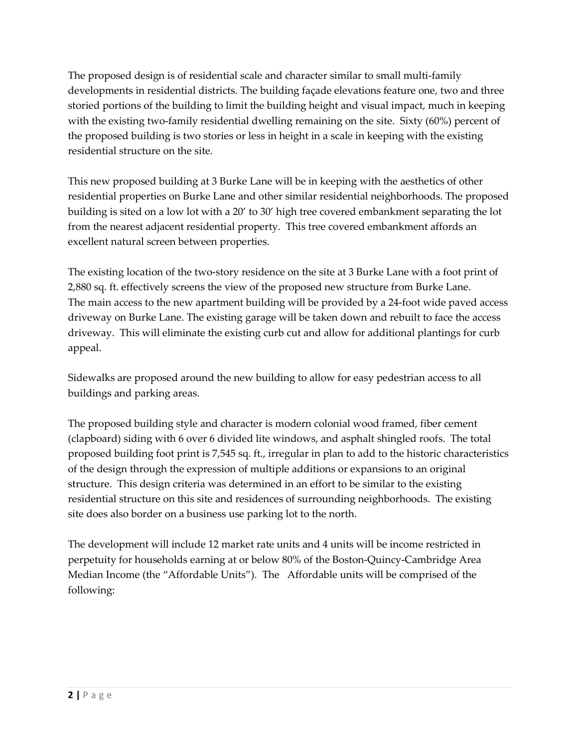The proposed design is of residential scale and character similar to small multi-family developments in residential districts. The building façade elevations feature one, two and three storied portions of the building to limit the building height and visual impact, much in keeping with the existing two-family residential dwelling remaining on the site. Sixty (60%) percent of the proposed building is two stories or less in height in a scale in keeping with the existing residential structure on the site.

This new proposed building at 3 Burke Lane will be in keeping with the aesthetics of other residential properties on Burke Lane and other similar residential neighborhoods. The proposed building is sited on a low lot with a 20' to 30' high tree covered embankment separating the lot from the nearest adjacent residential property. This tree covered embankment affords an excellent natural screen between properties.

The existing location of the two-story residence on the site at 3 Burke Lane with a foot print of 2,880 sq. ft. effectively screens the view of the proposed new structure from Burke Lane. The main access to the new apartment building will be provided by a 24-foot wide paved access driveway on Burke Lane. The existing garage will be taken down and rebuilt to face the access driveway. This will eliminate the existing curb cut and allow for additional plantings for curb appeal.

Sidewalks are proposed around the new building to allow for easy pedestrian access to all buildings and parking areas.

The proposed building style and character is modern colonial wood framed, fiber cement (clapboard) siding with 6 over 6 divided lite windows, and asphalt shingled roofs. The total proposed building foot print is 7,545 sq. ft., irregular in plan to add to the historic characteristics of the design through the expression of multiple additions or expansions to an original structure. This design criteria was determined in an effort to be similar to the existing residential structure on this site and residences of surrounding neighborhoods. The existing site does also border on a business use parking lot to the north.

The development will include 12 market rate units and 4 units will be income restricted in perpetuity for households earning at or below 80% of the Boston-Quincy-Cambridge Area Median Income (the "Affordable Units"). The Affordable units will be comprised of the following: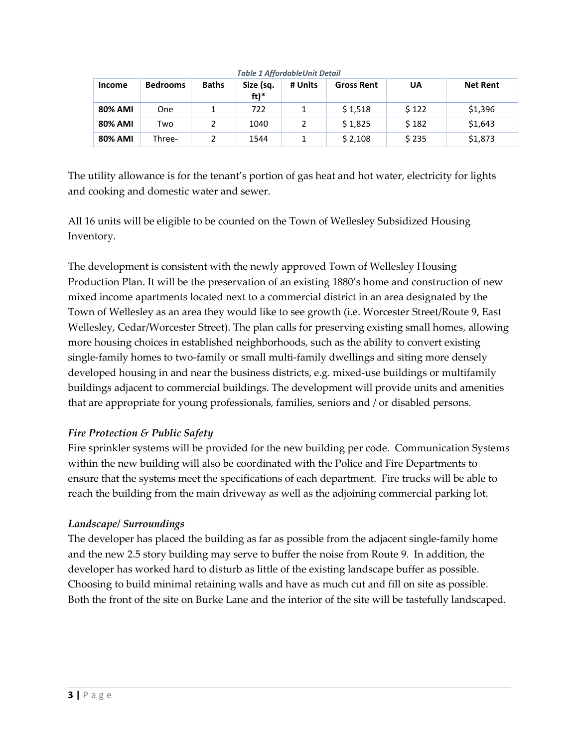| <b>Income</b>  | <b>Bedrooms</b> | <b>Baths</b> | Size (sq.<br>$ft)*$ | # Units | <b>Gross Rent</b> | UA    | <b>Net Rent</b> |
|----------------|-----------------|--------------|---------------------|---------|-------------------|-------|-----------------|
| <b>80% AMI</b> | One             |              | 722                 |         | \$1,518           | \$122 | \$1,396         |
| <b>80% AMI</b> | Two             |              | 1040                |         | \$1,825           | \$182 | \$1,643         |
| <b>80% AMI</b> | Three-          |              | 1544                |         | \$2,108           | \$235 | \$1,873         |

*Table 1 AffordableUnit Detail*

The utility allowance is for the tenant's portion of gas heat and hot water, electricity for lights and cooking and domestic water and sewer.

All 16 units will be eligible to be counted on the Town of Wellesley Subsidized Housing Inventory.

The development is consistent with the newly approved Town of Wellesley Housing Production Plan. It will be the preservation of an existing 1880's home and construction of new mixed income apartments located next to a commercial district in an area designated by the Town of Wellesley as an area they would like to see growth (i.e. Worcester Street/Route 9, East Wellesley, Cedar/Worcester Street). The plan calls for preserving existing small homes, allowing more housing choices in established neighborhoods, such as the ability to convert existing single-family homes to two-family or small multi-family dwellings and siting more densely developed housing in and near the business districts, e.g. mixed-use buildings or multifamily buildings adjacent to commercial buildings. The development will provide units and amenities that are appropriate for young professionals, families, seniors and / or disabled persons.

### *Fire Protection & Public Safety*

Fire sprinkler systems will be provided for the new building per code. Communication Systems within the new building will also be coordinated with the Police and Fire Departments to ensure that the systems meet the specifications of each department. Fire trucks will be able to reach the building from the main driveway as well as the adjoining commercial parking lot.

### *Landscape/ Surroundings*

The developer has placed the building as far as possible from the adjacent single-family home and the new 2.5 story building may serve to buffer the noise from Route 9. In addition, the developer has worked hard to disturb as little of the existing landscape buffer as possible. Choosing to build minimal retaining walls and have as much cut and fill on site as possible. Both the front of the site on Burke Lane and the interior of the site will be tastefully landscaped.